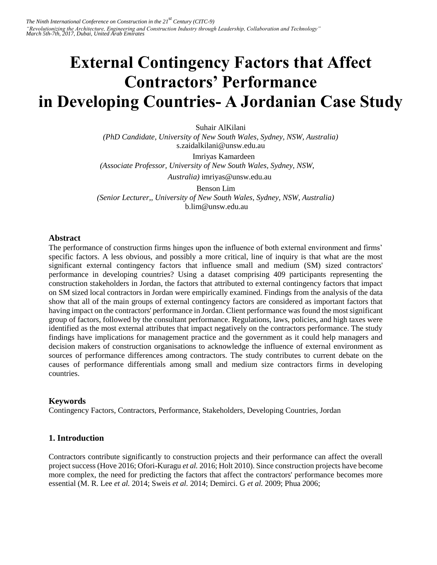# **External Contingency Factors that Affect Contractors' Performance in Developing Countries- A Jordanian Case Study**

Suhair AlKilani

*(PhD Candidate, University of New South Wales, Sydney, NSW, Australia)*  s.zaidalkilani@unsw.edu.au Imriyas Kamardeen *(Associate Professor, University of New South Wales, Sydney, NSW,* 

*Australia)* imriyas@unsw.edu.au

Benson Lim *(Senior Lecturer,, University of New South Wales, Sydney, NSW, Australia)*  b.lim@unsw.edu.au

# **Abstract**

The performance of construction firms hinges upon the influence of both external environment and firms' specific factors. A less obvious, and possibly a more critical, line of inquiry is that what are the most significant external contingency factors that influence small and medium (SM) sized contractors' performance in developing countries? Using a dataset comprising 409 participants representing the construction stakeholders in Jordan, the factors that attributed to external contingency factors that impact on SM sized local contractors in Jordan were empirically examined. Findings from the analysis of the data show that all of the main groups of external contingency factors are considered as important factors that having impact on the contractors' performance in Jordan. Client performance was found the most significant group of factors, followed by the consultant performance. Regulations, laws, policies, and high taxes were identified as the most external attributes that impact negatively on the contractors performance. The study findings have implications for management practice and the government as it could help managers and decision makers of construction organisations to acknowledge the influence of external environment as sources of performance differences among contractors. The study contributes to current debate on the causes of performance differentials among small and medium size contractors firms in developing countries.

# **Keywords**

Contingency Factors, Contractors, Performance, Stakeholders, Developing Countries, Jordan

# **1. Introduction**

Contractors contribute significantly to construction projects and their performance can affect the overall project success (Hove 2016; Ofori-Kuragu *et al.* 2016; Holt 2010). Since construction projects have become more complex, the need for predicting the factors that affect the contractors' performance becomes more essential (M. R. Lee *et al.* 2014; Sweis *et al.* 2014; Demirci. G *et al.* 2009; Phua 2006;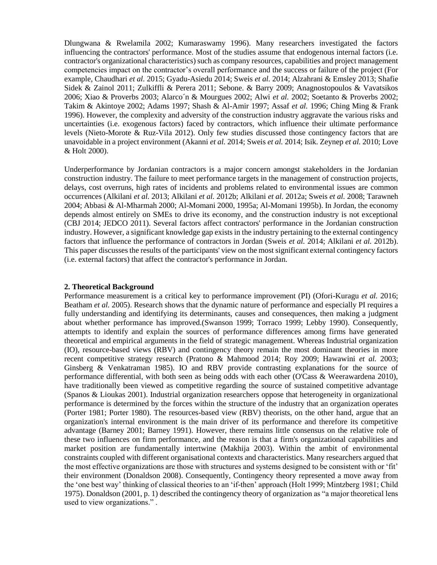Dlungwana & Rwelamila 2002; Kumaraswamy 1996). Many researchers investigated the factors influencing the contractors' performance. Most of the studies assume that endogenous internal factors (i.e. contractor's organizational characteristics) such as company resources, capabilities and project management competencies impact on the contractor's overall performance and the success or failure of the project (For example, Chaudhari *et al.* 2015; Gyadu-Asiedu 2014; Sweis *et al.* 2014; Alzahrani & Emsley 2013; Shafie Sidek & Zainol 2011; Zulkiffli & Perera 2011; Sebone. & Barry 2009; Anagnostopoulos & Vavatsikos 2006; Xiao & Proverbs 2003; Alarco´n & Mourgues 2002; Alwi *et al.* 2002; Soetanto & Proverbs 2002; Takim & Akintoye 2002; Adams 1997; Shash & Al-Amir 1997; Assaf *et al.* 1996; Ching Ming & Frank 1996). However, the complexity and adversity of the construction industry aggravate the various risks and uncertainties (i.e. exogenous factors) faced by contractors, which influence their ultimate performance levels (Nieto-Morote & Ruz-Vila 2012). Only few studies discussed those contingency factors that are unavoidable in a project environment (Akanni *et al.* 2014; Sweis *et al.* 2014; Isik. Zeynep *et al.* 2010; Love & Holt 2000).

Underperformance by Jordanian contractors is a major concern amongst stakeholders in the Jordanian construction industry. The failure to meet performance targets in the management of construction projects, delays, cost overruns, high rates of incidents and problems related to environmental issues are common occurrences (Alkilani *et al.* 2013; Alkilani *et al.* 2012b; Alkilani *et al.* 2012a; Sweis *et al.* 2008; Tarawneh 2004; Abbasi & Al-Mharmah 2000; Al-Momani 2000, 1995a; Al-Momani 1995b). In Jordan, the economy depends almost entirely on SMEs to drive its economy, and the construction industry is not exceptional (CBJ 2014; JEDCO 2011). Several factors affect contractors' performance in the Jordanian construction industry. However, a significant knowledge gap exists in the industry pertaining to the external contingency factors that influence the performance of contractors in Jordan (Sweis *et al.* 2014; Alkilani *et al.* 2012b). This paper discusses the results of the participants' view on the most significant external contingency factors (i.e. external factors) that affect the contractor's performance in Jordan.

## **2. Theoretical Background**

Performance measurement is a critical key to performance improvement (PI) (Ofori-Kuragu *et al.* 2016; Beatham *et al.* 2005). Research shows that the dynamic nature of performance and especially PI requires a fully understanding and identifying its determinants, causes and consequences, then making a judgment about whether performance has improved.(Swanson 1999; Torraco 1999; Lebby 1990). Consequently, attempts to identify and explain the sources of performance differences among firms have generated theoretical and empirical arguments in the field of strategic management. Whereas Industrial organization (IO), resource-based views (RBV) and contingency theory remain the most dominant theories in more recent competitive strategy research (Pratono & Mahmood 2014; Roy 2009; Hawawini *et al.* 2003; Ginsberg & Venkatraman 1985). IO and RBV provide contrasting explanations for the source of performance differential, with both seen as being odds with each other (O'Cass & Weerawardena 2010), have traditionally been viewed as competitive regarding the source of sustained competitive advantage (Spanos & Lioukas 2001). Industrial organization researchers oppose that heterogeneity in organizational performance is determined by the forces within the structure of the industry that an organization operates (Porter 1981; Porter 1980). The resources-based view (RBV) theorists, on the other hand, argue that an organization's internal environment is the main driver of its performance and therefore its competitive advantage (Barney 2001; Barney 1991). However, there remains little consensus on the relative role of these two influences on firm performance, and the reason is that a firm's organizational capabilities and market position are fundamentally intertwine (Makhija 2003). Within the ambit of environmental constraints coupled with different organisational contexts and characteristics. Many researchers argued that the most effective organizations are those with structures and systems designed to be consistent with or 'fit' their environment (Donaldson 2008). Consequently, Contingency theory represented a move away from the 'one best way' thinking of classical theories to an 'if-then' approach (Holt 1999; Mintzberg 1981; Child 1975). Donaldson (2001, p. 1) described the contingency theory of organization as "a major theoretical lens used to view organizations." .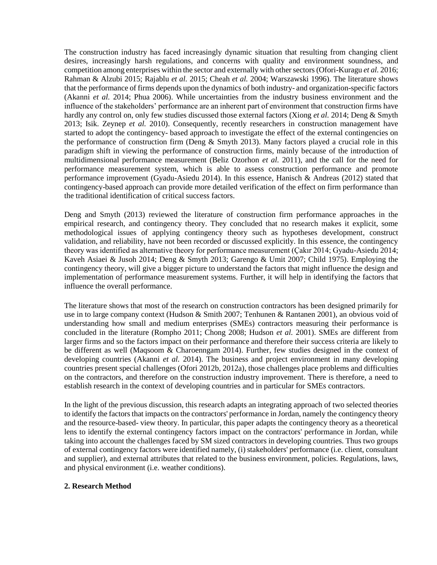The construction industry has faced increasingly dynamic situation that resulting from changing client desires, increasingly harsh regulations, and concerns with quality and environment soundness, and competition among enterprises within the sector and externally with other sectors (Ofori-Kuragu *et al.* 2016; Rahman & Alzubi 2015; Rajablu *et al.* 2015; Cheah *et al.* 2004; Warszawski 1996). The literature shows that the performance of firms depends upon the dynamics of both industry- and organization-specific factors (Akanni *et al.* 2014; Phua 2006). While uncertainties from the industry business environment and the influence of the stakeholders' performance are an inherent part of environment that construction firms have hardly any control on, only few studies discussed those external factors (Xiong *et al.* 2014; Deng & Smyth 2013; Isik. Zeynep *et al.* 2010). Consequently, recently researchers in construction management have started to adopt the contingency- based approach to investigate the effect of the external contingencies on the performance of construction firm (Deng  $&$  Smyth 2013). Many factors played a crucial role in this paradigm shift in viewing the performance of construction firms, mainly because of the introduction of multidimensional performance measurement (Beliz Ozorhon *et al.* 2011), and the call for the need for performance measurement system, which is able to assess construction performance and promote performance improvement (Gyadu-Asiedu 2014). In this essence, Hanisch & Andreas (2012) stated that contingency-based approach can provide more detailed verification of the effect on firm performance than the traditional identification of critical success factors.

Deng and Smyth (2013) reviewed the literature of construction firm performance approaches in the empirical research, and contingency theory. They concluded that no research makes it explicit, some methodological issues of applying contingency theory such as hypotheses development, construct validation, and reliability, have not been recorded or discussed explicitly. In this essence, the contingency theory was identified as alternative theory for performance measurement (Çakır 2014; Gyadu-Asiedu 2014; Kaveh Asiaei & Jusoh 2014; Deng & Smyth 2013; Garengo & Umit 2007; Child 1975). Employing the contingency theory, will give a bigger picture to understand the factors that might influence the design and implementation of performance measurement systems. Further, it will help in identifying the factors that influence the overall performance.

The literature shows that most of the research on construction contractors has been designed primarily for use in to large company context (Hudson & Smith 2007; Tenhunen & Rantanen 2001), an obvious void of understanding how small and medium enterprises (SMEs) contractors measuring their performance is concluded in the literature (Rompho 2011; Chong 2008; Hudson *et al.* 2001). SMEs are different from larger firms and so the factors impact on their performance and therefore their success criteria are likely to be different as well (Maqsoom & Charoenngam 2014). Further, few studies designed in the context of developing countries (Akanni *et al.* 2014). The business and project environment in many developing countries present special challenges (Ofori 2012b, 2012a), those challenges place problems and difficulties on the contractors, and therefore on the construction industry improvement. There is therefore, a need to establish research in the context of developing countries and in particular for SMEs contractors.

In the light of the previous discussion, this research adapts an integrating approach of two selected theories to identify the factors that impacts on the contractors' performance in Jordan, namely the contingency theory and the resource-based- view theory. In particular, this paper adapts the contingency theory as a theoretical lens to identify the external contingency factors impact on the contractors' performance in Jordan, while taking into account the challenges faced by SM sized contractors in developing countries. Thus two groups of external contingency factors were identified namely, (i) stakeholders' performance (i.e. client, consultant and supplier), and external attributes that related to the business environment, policies. Regulations, laws, and physical environment (i.e. weather conditions).

## **2. Research Method**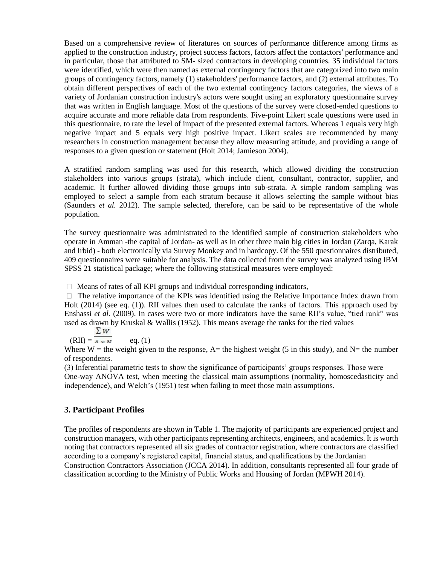Based on a comprehensive review of literatures on sources of performance difference among firms as applied to the construction industry, project success factors, factors affect the contactors' performance and in particular, those that attributed to SM- sized contractors in developing countries. 35 individual factors were identified, which were then named as external contingency factors that are categorized into two main groups of contingency factors, namely (1) stakeholders' performance factors, and (2) external attributes. To obtain different perspectives of each of the two external contingency factors categories, the views of a variety of Jordanian construction industry's actors were sought using an exploratory questionnaire survey that was written in English language. Most of the questions of the survey were closed-ended questions to acquire accurate and more reliable data from respondents. Five-point Likert scale questions were used in this questionnaire, to rate the level of impact of the presented external factors. Whereas 1 equals very high negative impact and 5 equals very high positive impact. Likert scales are recommended by many researchers in construction management because they allow measuring attitude, and providing a range of responses to a given question or statement (Holt 2014; Jamieson 2004).

A stratified random sampling was used for this research, which allowed dividing the construction stakeholders into various groups (strata), which include client, consultant, contractor, supplier, and academic. It further allowed dividing those groups into sub-strata. A simple random sampling was employed to select a sample from each stratum because it allows selecting the sample without bias (Saunders *et al.* 2012). The sample selected, therefore, can be said to be representative of the whole population.

The survey questionnaire was administrated to the identified sample of construction stakeholders who operate in Amman -the capital of Jordan- as well as in other three main big cities in Jordan (Zarqa, Karak and Irbid) - both electronically via Survey Monkey and in hardcopy. Of the 550 questionnaires distributed, 409 questionnaires were suitable for analysis. The data collected from the survey was analyzed using IBM SPSS 21 statistical package; where the following statistical measures were employed:

 $\Box$  Means of rates of all KPI groups and individual corresponding indicators,

 $\Box$  The relative importance of the KPIs was identified using the Relative Importance Index drawn from Holt (2014) (see eq. (1)). RII values then used to calculate the ranks of factors. This approach used by Enshassi *et al.* (2009). In cases were two or more indicators have the same RII's value, "tied rank" was used as drawn by Kruskal & Wallis (1952). This means average the ranks for the tied values

 $\Sigma w$  $(RII) = A_{MMI}$  eq. (1)

Where W = the weight given to the response, A= the highest weight (5 in this study), and N= the number of respondents.

(3) Inferential parametric tests to show the significance of participants' groups responses. Those were One-way ANOVA test, when meeting the classical main assumptions (normality, homoscedasticity and independence), and Welch's (1951) test when failing to meet those main assumptions.

# **3. Participant Profiles**

The profiles of respondents are shown in Table 1. The majority of participants are experienced project and construction managers, with other participants representing architects, engineers, and academics. It is worth noting that contractors represented all six grades of contractor registration, where contractors are classified according to a company's registered capital, financial status, and qualifications by the Jordanian Construction Contractors Association (JCCA 2014). In addition, consultants represented all four grade of classification according to the Ministry of Public Works and Housing of Jordan (MPWH 2014).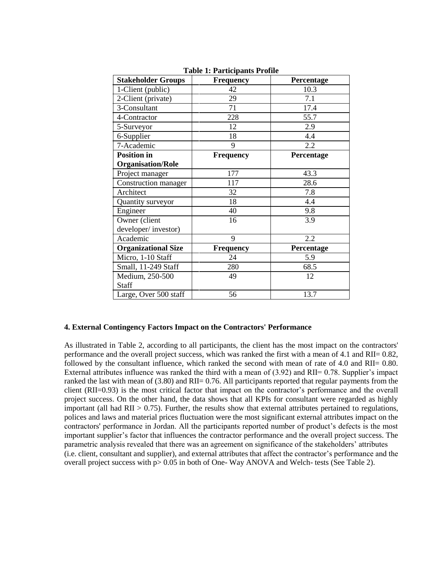| <b>Stakeholder Groups</b>  | <b>Frequency</b> | Percentage |
|----------------------------|------------------|------------|
| 1-Client (public)          | 42               | 10.3       |
| 2-Client (private)         | 29               | 7.1        |
| 3-Consultant               | 71               | 17.4       |
| 4-Contractor               | 228              | 55.7       |
| 5-Surveyor                 | 12               | 2.9        |
| 6-Supplier                 | 18               | 4.4        |
| 7-Academic                 | 9                | 2.2        |
| <b>Position</b> in         | <b>Frequency</b> | Percentage |
| <b>Organisation/Role</b>   |                  |            |
| Project manager            | 177              | 43.3       |
| Construction manager       | 117              | 28.6       |
| Architect                  | 32               | 7.8        |
| Quantity surveyor          | 18               | 4.4        |
| Engineer                   | 40               | 9.8        |
| Owner (client              | 16               | 3.9        |
| developer/investor)        |                  |            |
| Academic                   | 9                | 2.2        |
| <b>Organizational Size</b> | Frequency        | Percentage |
| Micro, 1-10 Staff          | 24               | 5.9        |
| Small, 11-249 Staff        | 280              | 68.5       |
| Medium, 250-500            | 49               | 12         |
| Staff                      |                  |            |
| Large, Over 500 staff      | 56               | 13.7       |

**Table 1: Participants Profile**

## **4. External Contingency Factors Impact on the Contractors' Performance**

As illustrated in Table 2, according to all participants, the client has the most impact on the contractors' performance and the overall project success, which was ranked the first with a mean of 4.1 and RII= 0.82, followed by the consultant influence, which ranked the second with mean of rate of 4.0 and RII= 0.80. External attributes influence was ranked the third with a mean of (3.92) and RII= 0.78. Supplier's impact ranked the last with mean of (3.80) and RII= 0.76. All participants reported that regular payments from the client (RII=0.93) is the most critical factor that impact on the contractor's performance and the overall project success. On the other hand, the data shows that all KPIs for consultant were regarded as highly important (all had  $\text{RII} > 0.75$ ). Further, the results show that external attributes pertained to regulations, polices and laws and material prices fluctuation were the most significant external attributes impact on the contractors' performance in Jordan. All the participants reported number of product's defects is the most important supplier's factor that influences the contractor performance and the overall project success. The parametric analysis revealed that there was an agreement on significance of the stakeholders' attributes (i.e. client, consultant and supplier), and external attributes that affect the contractor's performance and the overall project success with p> 0.05 in both of One- Way ANOVA and Welch- tests (See Table 2).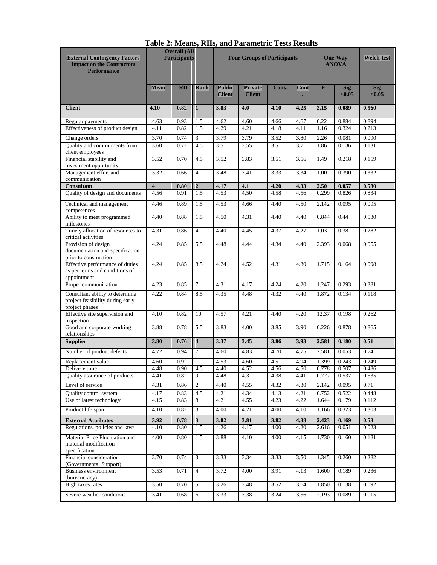| <b>External Contingency Factors</b><br><b>Impact on the Contractors</b><br><b>Performance</b> | <b>Overall (All</b><br><b>Participants</b> |              |                         | <b>Four Groups of Participants</b> |                          |              | <b>One-Way</b><br><b>ANOVA</b> |                         | Welch-test           |                      |
|-----------------------------------------------------------------------------------------------|--------------------------------------------|--------------|-------------------------|------------------------------------|--------------------------|--------------|--------------------------------|-------------------------|----------------------|----------------------|
|                                                                                               | <b>Mean</b>                                | <b>RII</b>   | Rank                    | <b>Public</b><br><b>Client</b>     | Private<br><b>Client</b> | Cons.        | Cont                           | $\overline{\mathbf{F}}$ | <b>Sig</b><br>< 0.05 | <b>Sig</b><br>< 0.05 |
| <b>Client</b>                                                                                 | 4.10                                       | 0.82         | $\mathbf{1}$            | 3.83                               | 4.0                      | 4.10         | 4.25                           | 2.15                    | 0.089                | 0.560                |
| Regular payments                                                                              | 4.63                                       | 0.93         | 1.5                     | 4.62                               | 4.60                     | 4.66         | 4.67                           | 0.22                    | 0.884                | 0.894                |
| Effectiveness of product design                                                               | 4.11                                       | 0.82         | $\overline{1.5}$        | 4.29                               | 4.21                     | 4.18         | 4.11                           | 1.16                    | 0.324                | 0.213                |
| Change orders<br>Quality and commitments from<br>client employees                             | 3.70<br>3.60                               | 0.74<br>0.72 | 3<br>4.5                | 3.79<br>3.5                        | 3.79<br>3.55             | 3.52<br>3.5  | 3.80<br>3.7                    | 2.26<br>1.86            | 0.081<br>0.136       | 0.090<br>0.131       |
| Financial stability and<br>investment opportunity                                             | 3.52                                       | 0.70         | 4.5                     | 3.52                               | 3.83                     | 3.51         | 3.56                           | 1.49                    | 0.218                | 0.159                |
| Management effort and<br>communication                                                        | 3.32                                       | 0.66         | $\overline{4}$          | 3.48                               | 3.41                     | 3.33         | 3.34                           | 1.00                    | 0.390                | 0.332                |
| <b>Consultant</b>                                                                             | $\overline{\mathbf{4}}$                    | 0.80         | $\boldsymbol{2}$        | 4.17                               | 4.1                      | 4.20         | 4.33                           | 2.50                    | 0.057                | 0.580                |
| Quality of design and documents                                                               | 4.56                                       | 0.91         | 1.5                     | 4.53                               | 4.50                     | 4.58         | 4.56                           | 0.299                   | 0.826                | 0.834                |
| Technical and management<br>competences                                                       | 4.46                                       | 0.89         | 1.5                     | 4.53                               | 4.66                     | 4.40         | 4.50                           | 2.142                   | 0.095                | 0.095                |
| Ability to meet programmed<br>milestones                                                      | 4.40                                       | 0.88         | 1.5                     | 4.50                               | 4.31                     | 4.40         | 4.40                           | 0.844                   | 0.44                 | 0.530                |
| Timely allocation of resources to<br>critical activities                                      | 4.31                                       | 0.86         | $\overline{4}$          | 4.40                               | 4.45                     | 4.37         | 4.27                           | 1.03                    | 0.38                 | 0.282                |
| Provision of design<br>documentation and specification<br>prior to construction               | 4.24                                       | 0.85         | $\overline{5.5}$        | 4.48                               | 4.44                     | 4.34         | 4.40                           | 2.393                   | 0.068                | 0.055                |
| Effective performance of duties<br>as per terms and conditions of<br>appointment              | 4.24                                       | 0.85         | 8.5                     | 4.24                               | 4.52                     | 4.31         | 4.30                           | 1.715                   | 0.164                | 0.098                |
| Proper communication                                                                          | 4.23                                       | 0.85         | $7\phantom{.0}$         | 4.31                               | 4.17                     | 4.24         | 4.20                           | 1.247                   | 0.293                | 0.381                |
| Consultant ability to determine<br>project feasibility during early<br>project phases         | 4.22                                       | 0.84         | 8.5                     | 4.35                               | 4.48                     | 4.32         | 4.40                           | 1.872                   | 0.134                | 0.118                |
| Effective site supervision and<br>inspection                                                  | 4.10                                       | 0.82         | 10                      | 4.57                               | 4.21                     | 4.40         | 4.20                           | 12.37                   | 0.198                | 0.262                |
| Good and corporate working<br>relationships                                                   | 3.88                                       | 0.78         | 5.5                     | 3.83                               | 4.00                     | 3.85         | 3.90                           | 0.226                   | 0.878                | 0.865                |
| <b>Supplier</b>                                                                               | 3.80                                       | 0.76         | $\overline{4}$          | 3.37                               | 3.45                     | 3.86         | 3.93                           | 2.581                   | 0.180                | 0.51                 |
| Number of product defects                                                                     | 4.72                                       | 0.94         | $\overline{7}$          | 4.60                               | 4.83                     | 4.70         | 4.75                           | 2.581                   | 0.053                | 0.74                 |
| Replacement value                                                                             | 4.60                                       | 0.92         | 1                       | 4.53                               | 4.60                     | 4.51         | 4.94                           | 1.399                   | 0.243                | 0.249                |
| Delivery time<br>Quality assurance of products                                                | 4.48<br>4.41                               | 0.90<br>0.82 | 4.5<br>9                | 4.40<br>4.48                       | 4.52<br>4.3              | 4.56<br>4.38 | 4.50<br>4.41                   | 0.778<br>0.727          | 0.507<br>0.537       | 0.486                |
| Level of service                                                                              |                                            |              | 2                       |                                    |                          |              |                                |                         | 0.095                | 0.535                |
|                                                                                               | 4.31                                       | 0.86         | 4.5                     | 4.40<br>4.21                       | 4.55                     | 4.32         | 4.30                           | 2.142                   | 0.522                | 0.71                 |
| <b>Ouality control system</b><br>Use of latest technology                                     | 4.17<br>4.15                               | 0.83<br>0.83 | 8                       | 4.21                               | 4.34<br>4.55             | 4.13<br>4.23 | 4.21<br>4.22                   | 0.752<br>1.644          | 0.179                | 0.448<br>0.112       |
| Product life span                                                                             | 4.10                                       | 0.82         | $\overline{\mathbf{3}}$ | 4.00                               | 4.21                     | 4.00         | 4.10                           | 1.166                   | 0.323                | 0.303                |
| <b>External Attributes</b>                                                                    | 3.92                                       | 0.78         | 3                       | 3.82                               | 3.81                     | 3.82         | 4.38                           | 2.423                   | 0.169                | 0.53                 |
| Regulations, policies and laws                                                                | 4.10                                       | 0.80         | 1.5                     | 4.26                               | 4.17                     | 4.00         | 4.20                           | 2.616                   | 0.051                | 0.023                |
| Material Price Fluctuation and<br>material modification<br>specification                      | 4.00                                       | 0.80         | 1.5                     | 3.88                               | 4.10                     | 4.00         | 4.15                           | 1.730                   | 0.160                | 0.181                |
| Financial consideration<br>(Governmental Support)                                             | 3.70                                       | 0.74         | $\overline{\mathbf{3}}$ | 3.33                               | 3.34                     | 3.33         | 3.50                           | 1.345                   | 0.260                | 0.282                |
| <b>Business environment</b><br>(bureaucracy)                                                  | 3.53                                       | 0.71         | $\overline{4}$          | 3.72                               | 4.00                     | 3.91         | 4.13                           | 1.600                   | 0.189                | 0.236                |
| High taxes rates                                                                              | 3.50                                       | 0.70         | 5                       | 3.26                               | 3.48                     | 3.52         | 3.64                           | 1.850                   | 0.138                | 0.092                |
| Severe weather conditions                                                                     | 3.41                                       | 0.68         | 6                       | 3.33                               | 3.38                     | 3.24         | 3.56                           | 2.193                   | 0.089                | 0.015                |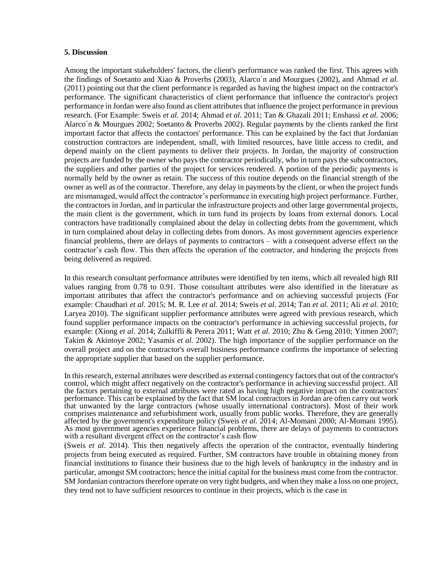### **5. Discussion**

Among the important stakeholders' factors, the client's performance was ranked the first. This agrees with the findings of Soetanto and Xiao & Proverbs (2003), Alarco´n and Mourgues (2002), and Ahmad *et al.* (2011) pointing out that the client performance is regarded as having the highest impact on the contractor's performance. The significant characteristics of client performance that influence the contractor's project performance in Jordan were also found as client attributes that influence the project performance in previous research. (For Example: Sweis *et al.* 2014; Ahmad *et al.* 2011; Tan & Ghazali 2011; Enshassi *et al.* 2006; Alarco´n & Mourgues 2002; Soetanto & Proverbs 2002). Regular payments by the clients ranked the first important factor that affects the contactors' performance. This can be explained by the fact that Jordanian construction contractors are independent, small, with limited resources, have little access to credit, and depend mainly on the client payments to deliver their projects. In Jordan, the majority of construction projects are funded by the owner who pays the contractor periodically, who in turn pays the subcontractors, the suppliers and other parties of the project for services rendered. A portion of the periodic payments is normally held by the owner as retain. The success of this routine depends on the financial strength of the owner as well as of the contractor. Therefore, any delay in payments by the client, or when the project funds are mismanaged, would affect the contractor's performance in executing high project performance. Further, the contractors in Jordan, and in particular the infrastructure projects and other large governmental projects, the main client is the government, which in turn fund its projects by loans from external donors. Local contractors have traditionally complained about the delay in collecting debts from the government, which in turn complained about delay in collecting debts from donors. As most government agencies experience financial problems, there are delays of payments to contractors – with a consequent adverse effect on the contractor's cash flow. This then affects the operation of the contractor, and hindering the projects from being delivered as required.

In this research consultant performance attributes were identified by ten items, which all revealed high RII values ranging from 0.78 to 0.91. Those consultant attributes were also identified in the literature as important attributes that affect the contractor's performance and on achieving successful projects (For example: Chaudhari *et al.* 2015; M. R. Lee *et al.* 2014; Sweis *et al.* 2014; Tan *et al.* 2011; Ali *et al.* 2010; Laryea 2010). The significant supplier performance attributes were agreed with previous research, which found supplier performance impacts on the contractor's performance in achieving successful projects, for example: (Xiong *et al.* 2014; Zulkiffli & Perera 2011; Watt *et al.* 2010; Zhu & Geng 2010; Yitmen 2007; Takim & Akintoye 2002; Yasamis *et al.* 2002). The high importance of the supplier performance on the overall project and on the contractor's overall business performance confirms the importance of selecting the appropriate supplier that based on the supplier performance.

In this research, external attributes were described as external contingency factors that out of the contractor's control, which might affect negatively on the contractor's performance in achieving successful project. All the factors pertaining to external attributes were rated as having high negative impact on the contractors' performance. This can be explained by the fact that SM local contractors in Jordan are often carry out work that unwanted by the large contractors (whose usually international contractors). Most of their work comprises maintenance and refurbishment work, usually from public works. Therefore, they are generally affected by the government's expenditure policy (Sweis *et al.* 2014; Al-Momani 2000; Al‐Momani 1995). As most government agencies experience financial problems, there are delays of payments to contractors with a resultant divergent effect on the contractor's cash flow

(Sweis *et al.* 2014). This then negatively affects the operation of the contractor, eventually hindering projects from being executed as required. Further, SM contractors have trouble in obtaining money from financial institutions to finance their business due to the high levels of bankruptcy in the industry and in particular, amongst SM contractors; hence the initial capital for the business must come from the contractor. SM Jordanian contractors therefore operate on very tight budgets, and when they make a loss on one project, they tend not to have sufficient resources to continue in their projects, which is the case in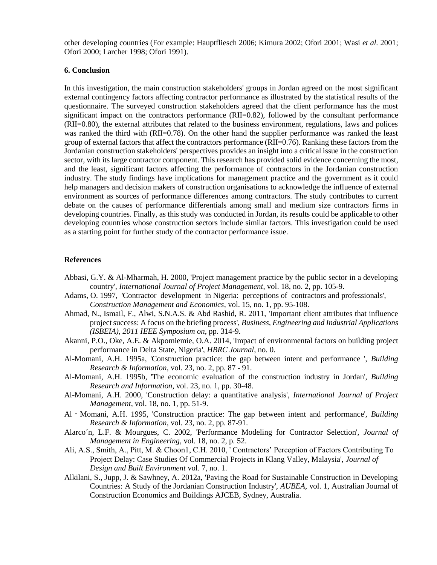other developing countries (For example: Hauptfliesch 2006; Kimura 2002; Ofori 2001; Wasi *et al.* 2001; Ofori 2000; Larcher 1998; Ofori 1991).

# **6. Conclusion**

In this investigation, the main construction stakeholders' groups in Jordan agreed on the most significant external contingency factors affecting contractor performance as illustrated by the statistical results of the questionnaire. The surveyed construction stakeholders agreed that the client performance has the most significant impact on the contractors performance (RII=0.82), followed by the consultant performance (RII=0.80), the external attributes that related to the business environment, regulations, laws and polices was ranked the third with (RII=0.78). On the other hand the supplier performance was ranked the least group of external factors that affect the contractors performance (RII=0.76). Ranking these factors from the Jordanian construction stakeholders' perspectives provides an insight into a critical issue in the construction sector, with its large contractor component. This research has provided solid evidence concerning the most, and the least, significant factors affecting the performance of contractors in the Jordanian construction industry. The study findings have implications for management practice and the government as it could help managers and decision makers of construction organisations to acknowledge the influence of external environment as sources of performance differences among contractors. The study contributes to current debate on the causes of performance differentials among small and medium size contractors firms in developing countries. Finally, as this study was conducted in Jordan, its results could be applicable to other developing countries whose construction sectors include similar factors. This investigation could be used as a starting point for further study of the contractor performance issue.

### **References**

- Abbasi, G.Y. & Al-Mharmah, H. 2000, 'Project management practice by the public sector in a developing country', *International Journal of Project Management*, vol. 18, no. 2, pp. 105-9.
- Adams, O. 1997, 'Contractor development in Nigeria: perceptions of contractors and professionals', *Construction Management and Economics*, vol. 15, no. 1, pp. 95-108.
- Ahmad, N., Ismail, F., Alwi, S.N.A.S. & Abd Rashid, R. 2011, 'Important client attributes that influence project success: A focus on the briefing process', *Business, Engineering and Industrial Applications (ISBEIA), 2011 IEEE Symposium on*, pp. 314-9.
- Akanni, P.O., Oke, A.E. & Akpomiemie, O.A. 2014, 'Impact of environmental factors on building project performance in Delta State, Nigeria', *HBRC Journal*, no. 0.
- Al-Momani, A.H. 1995a, 'Construction practice: the gap between intent and performance ', *Building Research & Information*, vol. 23, no. 2, pp. 87 - 91.
- Al-Momani, A.H. 1995b, 'The economic evaluation of the construction industry in Jordan', *Building Research and Information*, vol. 23, no. 1, pp. 30-48.
- Al-Momani, A.H. 2000, 'Construction delay: a quantitative analysis', *International Journal of Project Management*, vol. 18, no. 1, pp. 51-9.
- Al‐Momani, A.H. 1995, 'Construction practice: The gap between intent and performance', *Building Research & Information*, vol. 23, no. 2, pp. 87-91.
- Alarco´n, L.F. & Mourgues, C. 2002, 'Performance Modeling for Contractor Selection', *Journal of Management in Engineering*, vol. 18, no. 2, p. 52.
- Ali, A.S., Smith, A., Pitt, M. & Choon1, C.H. 2010, ' Contractors' Perception of Factors Contributing To Project Delay: Case Studies Of Commercial Projects in Klang Valley, Malaysia', *Journal of Design and Built Environment* vol. 7, no. 1.
- Alkilani, S., Jupp, J. & Sawhney, A. 2012a, 'Paving the Road for Sustainable Construction in Developing Countries: A Study of the Jordanian Construction Industry', *AUBEA*, vol. 1, Australian Journal of Construction Economics and Buildings AJCEB, Sydney, Australia.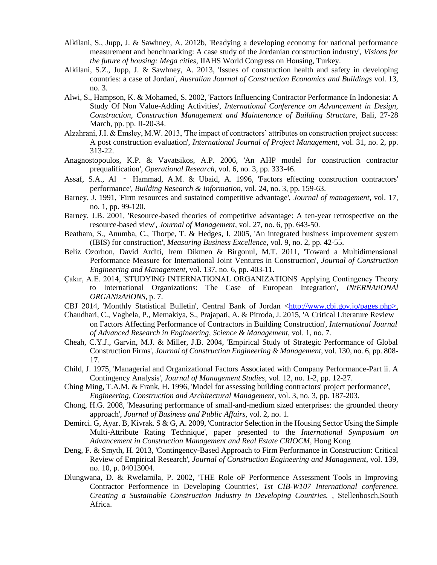- Alkilani, S., Jupp, J. & Sawhney, A. 2012b, 'Readying a developing economy for national performance measurement and benchmarking: A case study of the Jordanian construction industry', *Visions for the future of housing: Mega cities*, IIAHS World Congress on Housing, Turkey.
- Alkilani, S.Z., Jupp, J. & Sawhney, A. 2013, 'Issues of construction health and safety in developing countries: a case of Jordan', *Ausralian Journal of Construction Economics and Buildings* vol. 13, no. 3.
- Alwi, S., Hampson, K. & Mohamed, S. 2002, 'Factors Influencing Contractor Performance In Indonesia: A Study Of Non Value-Adding Activities', *International Conference on Advancement in Design, Construction, Construction Management and Maintenance of Building Structure*, Bali, 27-28 March, pp. pp. II-20-34.
- Alzahrani, J.I. & Emsley, M.W. 2013, 'The impact of contractors' attributes on construction project success: A post construction evaluation', *International Journal of Project Management*, vol. 31, no. 2, pp. 313-22.
- Anagnostopoulos, K.P. & Vavatsikos, A.P. 2006, 'An AHP model for construction contractor prequalification', *Operational Research*, vol. 6, no. 3, pp. 333-46.
- Assaf, S.A., Al Hammad, A.M. & Ubaid, A. 1996, 'Factors effecting construction contractors' performance', *Building Research & Information*, vol. 24, no. 3, pp. 159-63.
- Barney, J. 1991, 'Firm resources and sustained competitive advantage', *Journal of management*, vol. 17, no. 1, pp. 99-120.
- Barney, J.B. 2001, 'Resource-based theories of competitive advantage: A ten-year retrospective on the resource-based view', *Journal of Management*, vol. 27, no. 6, pp. 643-50.
- Beatham, S., Anumba, C., Thorpe, T. & Hedges, I. 2005, 'An integrated business improvement system (IBIS) for construction', *Measuring Business Excellence*, vol. 9, no. 2, pp. 42-55.
- Beliz Ozorhon, David Arditi, Irem Dikmen & Birgonul, M.T. 2011, 'Toward a Multidimensional Performance Measure for International Joint Ventures in Construction', *Journal of Construction Engineering and Management*, vol. 137, no. 6, pp. 403-11.
- Çakır, A.E. 2014, 'STUDYING INTERNATIONAL ORGANIZATIONS Applying Contingency Theory to International Organizations: The Case of European Integration', *INtERNAtiONAl ORGANizAtiONS*, p. 7.
- CBJ 2014, 'Monthly Statistical Bulletin', Central Bank of Jordan [<http://www.cbj.gov.jo/pages.php>.](http://www.cbj.gov.jo/pages.php%3e)
- Chaudhari, C., Vaghela, P., Memakiya, S., Prajapati, A. & Pitroda, J. 2015, 'A Critical Literature Review on Factors Affecting Performance of Contractors in Building Construction', *International Journal of Advanced Research in Engineering, Science & Management*, vol. 1, no. 7.
- Cheah, C.Y.J., Garvin, M.J. & Miller, J.B. 2004, 'Empirical Study of Strategic Performance of Global Construction Firms', *Journal of Construction Engineering & Management*, vol. 130, no. 6, pp. 808- 17.
- Child, J. 1975, 'Managerial and Organizational Factors Associated with Company Performance-Part ii. A Contingency Analysis', *Journal of Management Studies*, vol. 12, no. 1-2, pp. 12-27.
- Ching Ming, T.A.M. & Frank, H. 1996, 'Model for assessing building contractors' project performance', *Engineering, Construction and Architectural Management*, vol. 3, no. 3, pp. 187-203.
- Chong, H.G. 2008, 'Measuring performance of small-and-medium sized enterprises: the grounded theory approach', *Journal of Business and Public Affairs*, vol. 2, no. 1.
- Demirci. G, Ayar. B, Kivrak. S & G, A. 2009, 'Contractor Selection in the Housing Sector Using the Simple Multi-Attribute Rating Technique', paper presented to the *International Symposium on Advancement in Construction Management and Real Estate CRIOCM*, Hong Kong
- Deng, F. & Smyth, H. 2013, 'Contingency-Based Approach to Firm Performance in Construction: Critical Review of Empirical Research', *Journal of Construction Engineering and Management*, vol. 139, no. 10, p. 04013004.
- Dlungwana, D. & Rwelamila, P. 2002, 'THE Role oF Performence Assessment Tools in Improving Contractor Performence in Developing Countries', *1st CIB-W107 International conference. Creating a Sustainable Construction Industry in Developing Countries.* , Stellenbosch,South Africa.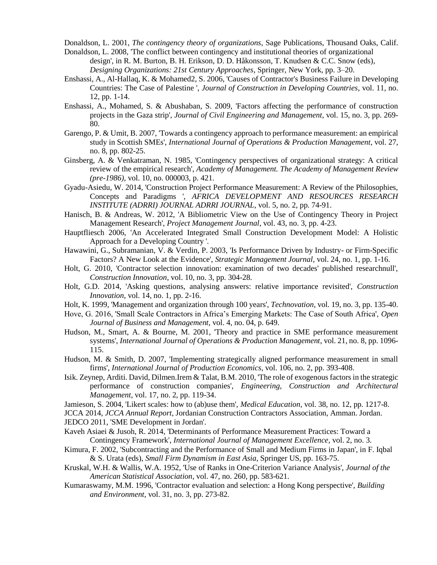Donaldson, L. 2001, *The contingency theory of organizations*, Sage Publications, Thousand Oaks, Calif.

- Donaldson, L. 2008, 'The conflict between contingency and institutional theories of organizational design', in R. M. Burton, B. H. Erikson, D. D. Håkonsson, T. Knudsen & C.C. Snow (eds), *Designing Organizations: 21st Century Approaches*, Springer, New York, pp. 3–20.
- Enshassi, A., Al-Hallaq, K. & Mohamed2, S. 2006, 'Causes of Contractor's Business Failure in Developing Countries: The Case of Palestine ', *Journal of Construction in Developing Countries*, vol. 11, no. 12, pp. 1-14.
- Enshassi, A., Mohamed, S. & Abushaban, S. 2009, 'Factors affecting the performance of construction projects in the Gaza strip', *Journal of Civil Engineering and Management*, vol. 15, no. 3, pp. 269- 80.
- Garengo, P. & Umit, B. 2007, 'Towards a contingency approach to performance measurement: an empirical study in Scottish SMEs', *International Journal of Operations & Production Management*, vol. 27, no. 8, pp. 802-25.
- Ginsberg, A. & Venkatraman, N. 1985, 'Contingency perspectives of organizational strategy: A critical review of the empirical research', *Academy of Management. The Academy of Management Review (pre-1986)*, vol. 10, no. 000003, p. 421.
- Gyadu-Asiedu, W. 2014, 'Construction Project Performance Measurement: A Review of the Philosophies, Concepts and Paradigms ', *AFRICA DEVELOPMENT AND RESOURCES RESEARCH INSTITUTE (ADRRI) JOURNAL ADRRI JOURNAL*, vol. 5, no. 2, pp. 74-91.
- Hanisch, B. & Andreas, W. 2012, 'A Bibliometric View on the Use of Contingency Theory in Project Management Research', *Project Management Journal*, vol. 43, no. 3, pp. 4-23.
- Hauptfliesch 2006, 'An Accelerated Integrated Small Construction Development Model: A Holistic Approach for a Developing Country '.
- Hawawini, G., Subramanian, V. & Verdin, P. 2003, 'Is Performance Driven by Industry- or Firm-Specific Factors? A New Look at the Evidence', *Strategic Management Journal*, vol. 24, no. 1, pp. 1-16.
- Holt, G. 2010, 'Contractor selection innovation: examination of two decades' published researchnull', *Construction Innovation*, vol. 10, no. 3, pp. 304-28.
- Holt, G.D. 2014, 'Asking questions, analysing answers: relative importance revisited', *Construction Innovation*, vol. 14, no. 1, pp. 2-16.
- Holt, K. 1999, 'Management and organization through 100 years', *Technovation*, vol. 19, no. 3, pp. 135-40.
- Hove, G. 2016, 'Small Scale Contractors in Africa's Emerging Markets: The Case of South Africa', *Open Journal of Business and Management*, vol. 4, no. 04, p. 649.
- Hudson, M., Smart, A. & Bourne, M. 2001, 'Theory and practice in SME performance measurement systems', *International Journal of Operations & Production Management*, vol. 21, no. 8, pp. 1096- 115.
- Hudson, M. & Smith, D. 2007, 'Implementing strategically aligned performance measurement in small firms', *International Journal of Production Economics*, vol. 106, no. 2, pp. 393-408.
- Isik. Zeynep, Arditi. David, Dilmen.Irem & Talat, B.M. 2010, 'The role of exogenous factors in the strategic performance of construction companies', *Engineering, Construction and Architectural Management*, vol. 17, no. 2, pp. 119-34.
- Jamieson, S. 2004, 'Likert scales: how to (ab)use them', *Medical Education*, vol. 38, no. 12, pp. 1217-8.

JCCA 2014, *JCCA Annual Report*, Jordanian Construction Contractors Association, Amman. Jordan. JEDCO 2011, 'SME Development in Jordan'.

- Kaveh Asiaei & Jusoh, R. 2014, 'Determinants of Performance Measurement Practices: Toward a Contingency Framework', *International Journal of Management Excellence*, vol. 2, no. 3.
- Kimura, F. 2002, 'Subcontracting and the Performance of Small and Medium Firms in Japan', in F. Iqbal & S. Urata (eds), *Small Firm Dynamism in East Asia*, Springer US, pp. 163-75.
- Kruskal, W.H. & Wallis, W.A. 1952, 'Use of Ranks in One-Criterion Variance Analysis', *Journal of the American Statistical Association*, vol. 47, no. 260, pp. 583-621.
- Kumaraswamy, M.M. 1996, 'Contractor evaluation and selection: a Hong Kong perspective', *Building and Environment*, vol. 31, no. 3, pp. 273-82.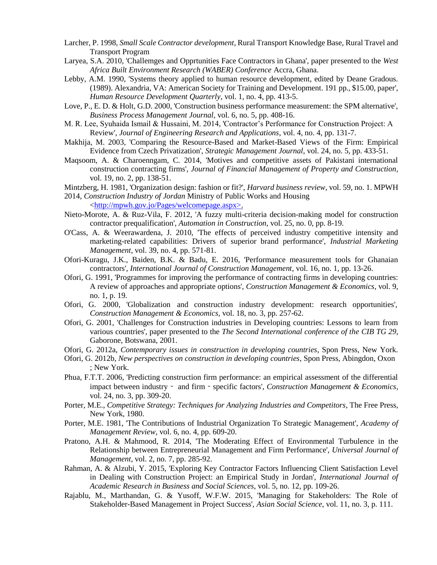- Larcher, P. 1998, *Small Scale Contractor development*, Rural Transport Knowledge Base, Rural Travel and Transport Program
- Laryea, S.A. 2010, 'Challemges and Opprtunities Face Contractors in Ghana', paper presented to the *West Africa Built Environment Research (WABER) Conference* Accra, Ghana.
- Lebby, A.M. 1990, 'Systems theory applied to human resource development, edited by Deane Gradous. (1989). Alexandria, VA: American Society for Training and Development. 191 pp., \$15.00, paper', *Human Resource Development Quarterly*, vol. 1, no. 4, pp. 413-5.
- Love, P., E. D. & Holt, G.D. 2000, 'Construction business performance measurement: the SPM alternative', *Business Process Management Journal*, vol. 6, no. 5, pp. 408-16.
- M. R. Lee, Syuhaida Ismail & Hussaini, M. 2014, 'Contractor's Performance for Construction Project: A Review', *Journal of Engineering Research and Applications*, vol. 4, no. 4, pp. 131-7.
- Makhija, M. 2003, 'Comparing the Resource-Based and Market-Based Views of the Firm: Empirical Evidence from Czech Privatization', *Strategic Management Journal*, vol. 24, no. 5, pp. 433-51.
- Maqsoom, A. & Charoenngam, C. 2014, 'Motives and competitive assets of Pakistani international construction contracting firms', *Journal of Financial Management of Property and Construction*, vol. 19, no. 2, pp. 138-51.

Mintzberg, H. 1981, 'Organization design: fashion or fit?', *Harvard business review*, vol. 59, no. 1. MPWH

2014, *Construction Industry of Jordan* Ministry of Public Works and Housing

[<http://mpwh.gov.jo/Pages/welcomepage.aspx>.](http://mpwh.gov.jo/Pages/welcomepage.aspx%3e)

- Nieto-Morote, A. & Ruz-Vila, F. 2012, 'A fuzzy multi-criteria decision-making model for construction contractor prequalification', *Automation in Construction*, vol. 25, no. 0, pp. 8-19.
- O'Cass, A. & Weerawardena, J. 2010, 'The effects of perceived industry competitive intensity and marketing-related capabilities: Drivers of superior brand performance', *Industrial Marketing Management*, vol. 39, no. 4, pp. 571-81.
- Ofori-Kuragu, J.K., Baiden, B.K. & Badu, E. 2016, 'Performance measurement tools for Ghanaian contractors', *International Journal of Construction Management*, vol. 16, no. 1, pp. 13-26.
- Ofori, G. 1991, 'Programmes for improving the performance of contracting firms in developing countries: A review of approaches and appropriate options', *Construction Management & Economics*, vol. 9, no. 1, p. 19.
- Ofori, G. 2000, 'Globalization and construction industry development: research opportunities', *Construction Management & Economics*, vol. 18, no. 3, pp. 257-62.
- Ofori, G. 2001, 'Challenges for Construction industries in Developing countries: Lessons to learn from various countries', paper presented to the *The Second International conference of the CIB TG 29*, Gaborone, Botswana, 2001.
- Ofori, G. 2012a, *Contemporary issues in construction in developing countries*, Spon Press, New York.
- Ofori, G. 2012b, *New perspectives on construction in developing countries*, Spon Press, Abingdon, Oxon ; New York.
- Phua, F.T.T. 2006, 'Predicting construction firm performance: an empirical assessment of the differential impact between industry‐ and firm‐specific factors', *Construction Management & Economics*, vol. 24, no. 3, pp. 309-20.
- Porter, M.E., *Competitive Strategy: Techniques for Analyzing Industries and Competitors*, The Free Press, New York, 1980.
- Porter, M.E. 1981, 'The Contributions of Industrial Organization To Strategic Management', *Academy of Management Review*, vol. 6, no. 4, pp. 609-20.
- Pratono, A.H. & Mahmood, R. 2014, 'The Moderating Effect of Environmental Turbulence in the Relationship between Entrepreneurial Management and Firm Performance', *Universal Journal of Management*, vol. 2, no. 7, pp. 285-92.
- Rahman, A. & Alzubi, Y. 2015, 'Exploring Key Contractor Factors Influencing Client Satisfaction Level in Dealing with Construction Project: an Empirical Study in Jordan', *International Journal of Academic Research in Business and Social Sciences*, vol. 5, no. 12, pp. 109-26.
- Rajablu, M., Marthandan, G. & Yusoff, W.F.W. 2015, 'Managing for Stakeholders: The Role of Stakeholder-Based Management in Project Success', *Asian Social Science*, vol. 11, no. 3, p. 111.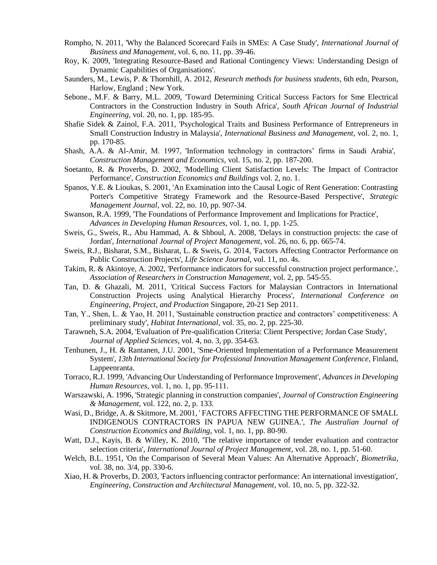- Rompho, N. 2011, 'Why the Balanced Scorecard Fails in SMEs: A Case Study', *International Journal of Business and Management*, vol. 6, no. 11, pp. 39-46.
- Roy, K. 2009, 'Integrating Resource-Based and Rational Contingency Views: Understanding Design of Dynamic Capabilities of Organisations'.
- Saunders, M., Lewis, P. & Thornhill, A. 2012, *Research methods for business students*, 6th edn, Pearson, Harlow, England ; New York.
- Sebone., M.F. & Barry, M.L. 2009, 'Toward Determining Critical Success Factors for Sme Electrical Contractors in the Construction Industry in South Africa', *South African Journal of Industrial Engineering*, vol. 20, no. 1, pp. 185-95.
- Shafie Sidek & Zainol, F.A. 2011, 'Psychological Traits and Business Performance of Entrepreneurs in Small Construction Industry in Malaysia', *International Business and Management*, vol. 2, no. 1, pp. 170-85.
- Shash, A.A. & Al-Amir, M. 1997, 'Information technology in contractors' firms in Saudi Arabia', *Construction Management and Economics*, vol. 15, no. 2, pp. 187-200.
- Soetanto, R. & Proverbs, D. 2002, 'Modelling Client Satisfaction Levels: The Impact of Contractor Performance', *Construction Economics and Buildings* vol. 2, no. 1.
- Spanos, Y.E. & Lioukas, S. 2001, 'An Examination into the Causal Logic of Rent Generation: Contrasting Porter's Competitive Strategy Framework and the Resource-Based Perspective', *Strategic Management Journal*, vol. 22, no. 10, pp. 907-34.
- Swanson, R.A. 1999, 'The Foundations of Performance Improvement and Implications for Practice', *Advances in Developing Human Resources*, vol. 1, no. 1, pp. 1-25.
- Sweis, G., Sweis, R., Abu Hammad, A. & Shboul, A. 2008, 'Delays in construction projects: the case of Jordan', *International Journal of Project Management*, vol. 26, no. 6, pp. 665-74.
- Sweis, R.J., Bisharat, S.M., Bisharat, L. & Sweis, G. 2014, 'Factors Affecting Contractor Performance on Public Construction Projects', *Life Science Journal*, vol. 11, no. 4s.
- Takim, R. & Akintoye, A. 2002, 'Performance indicators for successful construction project performance.', *Association of Researchers in Construction Management*, vol. 2, pp. 545-55.
- Tan, D. & Ghazali, M. 2011, 'Critical Success Factors for Malaysian Contractors in International Construction Projects using Analytical Hierarchy Process', *International Conference on Engineering, Project, and Production* Singapore, 20-21 Sep 2011.
- Tan, Y., Shen, L. & Yao, H. 2011, 'Sustainable construction practice and contractors' competitiveness: A preliminary study', *Habitat International*, vol. 35, no. 2, pp. 225-30.
- Tarawneh, S.A. 2004, 'Evaluation of Pre-qualification Criteria: Client Perspective; Jordan Case Study', *Journal of Applied Sciences*, vol. 4, no. 3, pp. 354-63.
- Tenhunen, J., H. & Rantanen, J.U. 2001, 'Sme-Oriented Implementation of a Performance Measurement System', *13th International Society for Professional Innovation Management Conference*, Finland, Lappeenranta.
- Torraco, R.J. 1999, 'Advancing Our Understanding of Performance Improvement', *Advances in Developing Human Resources*, vol. 1, no. 1, pp. 95-111.
- Warszawski, A. 1996, 'Strategic planning in construction companies', *Journal of Construction Engineering & Management*, vol. 122, no. 2, p. 133.
- Wasi, D., Bridge, A. & Skitmore, M. 2001, ' FACTORS AFFECTING THE PERFORMANCE OF SMALL INDIGENOUS CONTRACTORS IN PAPUA NEW GUINEA.', *The Australian Journal of Construction Economics and Building*, vol. 1, no. 1, pp. 80-90.
- Watt, D.J., Kayis, B. & Willey, K. 2010, 'The relative importance of tender evaluation and contractor selection criteria', *International Journal of Project Management*, vol. 28, no. 1, pp. 51-60.
- Welch, B.L. 1951, 'On the Comparison of Several Mean Values: An Alternative Approach', *Biometrika*, vol. 38, no. 3/4, pp. 330-6.
- Xiao, H. & Proverbs, D. 2003, 'Factors influencing contractor performance: An international investigation', *Engineering, Construction and Architectural Management*, vol. 10, no. 5, pp. 322-32.